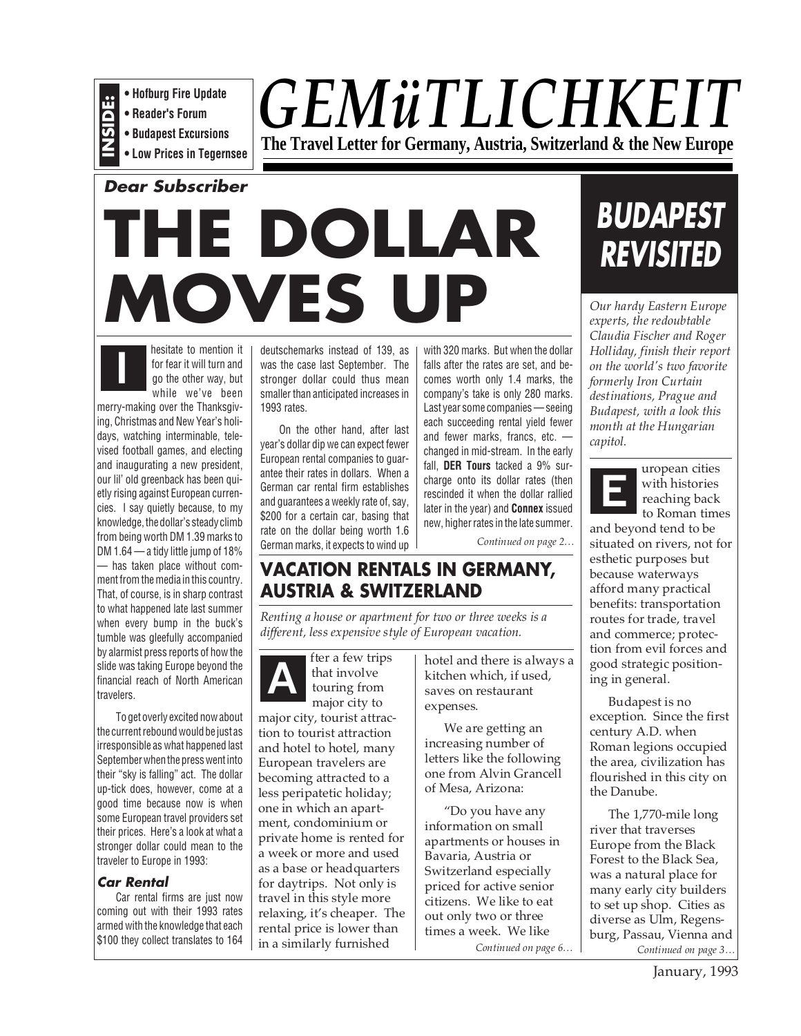- **Hofburg Fire Update**
- **Reader's Forum**
- **INSIDE: • Budapest Excursions**
- **Low Prices in Tegernsee**

# *GEMüTLICHKEIT* **The Travel Letter for Germany, Austria, Switzerland & the New Europe**

**Dear Subscriber**

# **THE DOLLAR MOVES UP**



hesitate to mention it for fear it will turn and go the other way, but while we've been

merry-making over the Thanksgiving, Christmas and New Year's holidays, watching interminable, televised football games, and electing and inaugurating a new president, our lil' old greenback has been quietly rising against European currencies. I say quietly because, to my knowledge, the dollar's steady climb from being worth DM 1.39 marks to DM 1.64 — a tidy little jump of 18% — has taken place without comment from the media in this country. That, of course, is in sharp contrast to what happened late last summer when every bump in the buck's tumble was gleefully accompanied by alarmist press reports of how the slide was taking Europe beyond the financial reach of North American travelers.

To get overly excited now about the current rebound would be just as irresponsible as what happened last September when the press went into their "sky is falling" act. The dollar up-tick does, however, come at a good time because now is when some European travel providers set their prices. Here's a look at what a stronger dollar could mean to the traveler to Europe in 1993:

## **Car Rental**

Car rental firms are just now coming out with their 1993 rates armed with the knowledge that each \$100 they collect translates to 164 deutschemarks instead of 139, as was the case last September. The stronger dollar could thus mean smaller than anticipated increases in 1993 rates.

On the other hand, after last year's dollar dip we can expect fewer European rental companies to guarantee their rates in dollars. When a German car rental firm establishes and guarantees a weekly rate of, say, \$200 for a certain car, basing that rate on the dollar being worth 1.6 German marks, it expects to wind up with 320 marks. But when the dollar falls after the rates are set, and becomes worth only 1.4 marks, the company's take is only 280 marks. Last year some companies — seeing each succeeding rental yield fewer and fewer marks, francs, etc. changed in mid-stream. In the early fall, **DER Tours** tacked a 9% surcharge onto its dollar rates (then rescinded it when the dollar rallied later in the year) and **Connex** issued new, higher rates in the late summer.

*Continued on page 2…*

# **VACATION RENTALS IN GERMANY, AUSTRIA & SWITZERLAND**

*Renting a house or apartment for two or three weeks is a different, less expensive style of European vacation.*

fter a few trips that involve touring from major city to **A**

major city, tourist attraction to tourist attraction and hotel to hotel, many European travelers are becoming attracted to a less peripatetic holiday; one in which an apartment, condominium or private home is rented for a week or more and used as a base or headquarters for daytrips. Not only is travel in this style more relaxing, it's cheaper. The rental price is lower than in a similarly furnished

hotel and there is always a kitchen which, if used, saves on restaurant expenses.

We are getting an increasing number of letters like the following one from Alvin Grancell of Mesa, Arizona:

"Do you have any information on small apartments or houses in Bavaria, Austria or Switzerland especially priced for active senior citizens. We like to eat out only two or three times a week. We like *Continued on page 6…*

# **BUDAPEST REVISITED**

*Our hardy Eastern Europe experts, the redoubtable Claudia Fischer and Roger Holliday, finish their report on the world's two favorite formerly Iron Curtain destinations, Prague and Budapest, with a look this month at the Hungarian capitol.*



uropean cities with histories reaching back to Roman times

and beyond tend to be situated on rivers, not for esthetic purposes but because waterways afford many practical benefits: transportation routes for trade, travel and commerce; protection from evil forces and good strategic positioning in general.

Budapest is no exception. Since the first century A.D. when Roman legions occupied the area, civilization has flourished in this city on the Danube.

*Continued on page 3…* The 1,770-mile long river that traverses Europe from the Black Forest to the Black Sea, was a natural place for many early city builders to set up shop. Cities as diverse as Ulm, Regensburg, Passau, Vienna and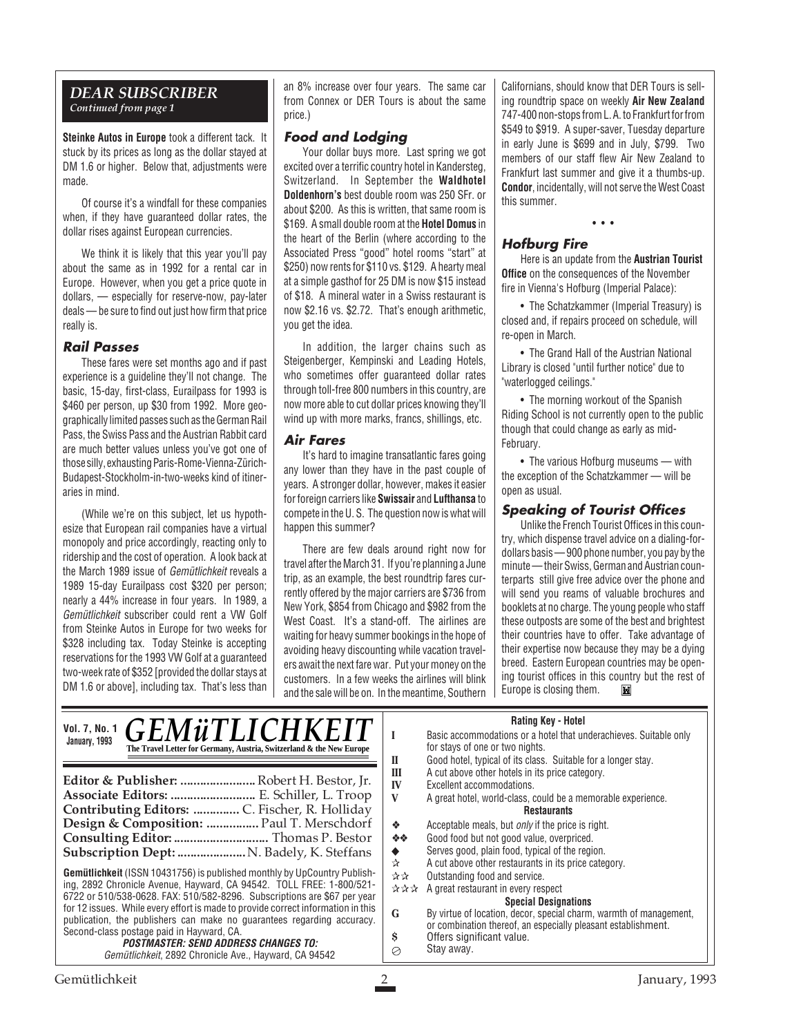#### *DEAR SUBSCRIBER Continued from page 1*

**Steinke Autos in Europe** took a different tack. It stuck by its prices as long as the dollar stayed at DM 1.6 or higher. Below that, adjustments were made.

Of course it's a windfall for these companies when, if they have guaranteed dollar rates, the dollar rises against European currencies.

We think it is likely that this year you'll pay about the same as in 1992 for a rental car in Europe. However, when you get a price quote in dollars, — especially for reserve-now, pay-later deals — be sure to find out just how firm that price really is.

#### **Rail Passes**

These fares were set months ago and if past experience is a guideline they'll not change. The basic, 15-day, first-class, Eurailpass for 1993 is \$460 per person, up \$30 from 1992. More geographically limited passes such as the German Rail Pass, the Swiss Pass and the Austrian Rabbit card are much better values unless you've got one of those silly, exhausting Paris-Rome-Vienna-Zürich-Budapest-Stockholm-in-two-weeks kind of itineraries in mind.

(While we're on this subject, let us hypothesize that European rail companies have a virtual monopoly and price accordingly, reacting only to ridership and the cost of operation. A look back at the March 1989 issue of Gemütlichkeit reveals a 1989 15-day Eurailpass cost \$320 per person; nearly a 44% increase in four years. In 1989, a Gemütlichkeit subscriber could rent a VW Golf from Steinke Autos in Europe for two weeks for \$328 including tax. Today Steinke is accepting reservations for the 1993 VW Golf at a guaranteed two-week rate of \$352 [provided the dollar stays at DM 1.6 or above], including tax. That's less than an 8% increase over four years. The same car from Connex or DER Tours is about the same price.)

#### **Food and Lodging**

Your dollar buys more. Last spring we got excited over a terrific country hotel in Kandersteg, Switzerland. In September the **Waldhotel Doldenhorn's** best double room was 250 SFr. or about \$200. As this is written, that same room is \$169. A small double room at the **Hotel Domus** in the heart of the Berlin (where according to the Associated Press "good" hotel rooms "start" at \$250) now rents for \$110 vs. \$129. A hearty meal at a simple gasthof for 25 DM is now \$15 instead of \$18. A mineral water in a Swiss restaurant is now \$2.16 vs. \$2.72. That's enough arithmetic, you get the idea.

In addition, the larger chains such as Steigenberger, Kempinski and Leading Hotels, who sometimes offer guaranteed dollar rates through toll-free 800 numbers in this country, are now more able to cut dollar prices knowing they'll wind up with more marks, francs, shillings, etc.

#### **Air Fares**

It's hard to imagine transatlantic fares going any lower than they have in the past couple of years. A stronger dollar, however, makes it easier for foreign carriers like **Swissair** and **Lufthansa** to compete in the U. S. The question now is what will happen this summer?

There are few deals around right now for travel after the March 31. If you're planning a June trip, as an example, the best roundtrip fares currently offered by the major carriers are \$736 from New York, \$854 from Chicago and \$982 from the West Coast. It's a stand-off. The airlines are waiting for heavy summer bookings in the hope of avoiding heavy discounting while vacation travelers await the next fare war. Put your money on the customers. In a few weeks the airlines will blink and the sale will be on. In the meantime, Southern

Californians, should know that DER Tours is selling roundtrip space on weekly **Air New Zealand** 747-400 non-stops from L. A. to Frankfurt for from \$549 to \$919. A super-saver, Tuesday departure in early June is \$699 and in July, \$799. Two members of our staff flew Air New Zealand to Frankfurt last summer and give it a thumbs-up. **Condor**, incidentally, will not serve the West Coast this summer.

# **Hofburg Fire**

Here is an update from the **Austrian Tourist Office** on the consequences of the November fire in Vienna's Hofburg (Imperial Palace):

• • •

• The Schatzkammer (Imperial Treasury) is closed and, if repairs proceed on schedule, will re-open in March.

• The Grand Hall of the Austrian National Library is closed "until further notice" due to "waterlogged ceilings."

• The morning workout of the Spanish Riding School is not currently open to the public though that could change as early as mid-February.

• The various Hofburg museums — with the exception of the Schatzkammer — will be open as usual.

#### **Speaking of Tourist Offices**

Unlike the French Tourist Offices in this country, which dispense travel advice on a dialing-fordollars basis — 900 phone number, you pay by the minute — their Swiss, German and Austrian counterparts still give free advice over the phone and will send you reams of valuable brochures and booklets at no charge. The young people who staff these outposts are some of the best and brightest their countries have to offer. Take advantage of their expertise now because they may be a dying breed. Eastern European countries may be opening tourist offices in this country but the rest of Europe is closing them.Ĭ.

#### **Rating Key - Hotel**

| <i><b>GEMÜTLICHKEIT</b></i><br><b>Vol. 7, No. 1</b><br>January, 1993<br>The Travel Letter for Germany, Austria, Switzerland & the New Europe                                                                                                                                                                                                                                                                                                                                                                                                                                                                                                                                                                                                                                                          | natiliy Nev - Notel<br>Basic accommodations or a hotel that underachieves. Suitable only<br>for stays of one or two nights.<br>Good hotel, typical of its class. Suitable for a longer stay.<br>П                                                                                                                                                                                                                                                                                                                                                                                                                                                                                                                                                |
|-------------------------------------------------------------------------------------------------------------------------------------------------------------------------------------------------------------------------------------------------------------------------------------------------------------------------------------------------------------------------------------------------------------------------------------------------------------------------------------------------------------------------------------------------------------------------------------------------------------------------------------------------------------------------------------------------------------------------------------------------------------------------------------------------------|--------------------------------------------------------------------------------------------------------------------------------------------------------------------------------------------------------------------------------------------------------------------------------------------------------------------------------------------------------------------------------------------------------------------------------------------------------------------------------------------------------------------------------------------------------------------------------------------------------------------------------------------------------------------------------------------------------------------------------------------------|
| Editor & Publisher:  Robert H. Bestor, Jr.<br>Associate Editors:  E. Schiller, L. Troop<br>Contributing Editors:  C. Fischer, R. Holliday<br>Design & Composition:  Paul T. Merschdorf<br>Subscription Dept:  N. Badely, K. Steffans<br><b>Gemütlichkeit</b> (ISSN 10431756) is published monthly by UpCountry Publish-<br>ing, 2892 Chronicle Avenue, Hayward, CA 94542. TOLL FREE: 1-800/521-<br>6722 or 510/538-0628. FAX: 510/582-8296. Subscriptions are \$67 per year<br>for 12 issues. While every effort is made to provide correct information in this<br>publication, the publishers can make no guarantees regarding accuracy.<br>Second-class postage paid in Hayward, CA.<br><i><b>POSTMASTER: SEND ADDRESS CHANGES TO:</b></i><br>Gemütlichkeit, 2892 Chronicle Ave., Hayward, CA 94542 | A cut above other hotels in its price category.<br>Ш<br>Excellent accommodations.<br>IV<br>V<br>A great hotel, world-class, could be a memorable experience.<br><b>Restaurants</b><br>Acceptable meals, but <i>only</i> if the price is right.<br>❖<br>Good food but not good value, overpriced.<br>❖◈<br>Serves good, plain food, typical of the region.<br>٠<br>A cut above other restaurants in its price category.<br>☆<br>Outstanding food and service.<br>**<br>A great restaurant in every respect<br>자자자<br><b>Special Designations</b><br>G<br>By virtue of location, decor, special charm, warmth of management,<br>or combination thereof, an especially pleasant establishment.<br>Offers significant value.<br>S<br>Stay away.<br>⊘ |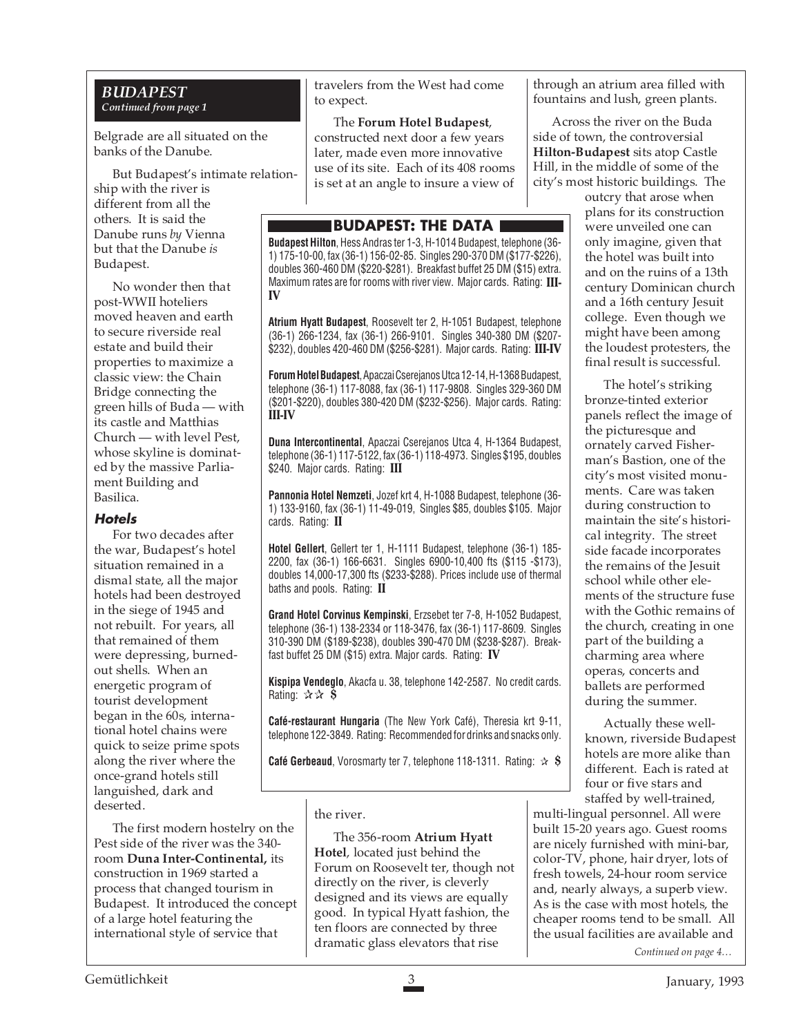#### *BUDAPEST Continued from page 1*

Belgrade are all situated on the banks of the Danube.

But Budapest's intimate relationship with the river is different from all the others. It is said the Danube runs *by* Vienna but that the Danube *is* Budapest.

No wonder then that post-WWII hoteliers moved heaven and earth to secure riverside real estate and build their properties to maximize a classic view: the Chain Bridge connecting the green hills of Buda — with its castle and Matthias Church — with level Pest, whose skyline is dominated by the massive Parliament Building and Basilica.

#### **Hotels**

For two decades after the war, Budapest's hotel situation remained in a dismal state, all the major hotels had been destroyed in the siege of 1945 and not rebuilt. For years, all that remained of them were depressing, burnedout shells. When an energetic program of tourist development began in the 60s, international hotel chains were quick to seize prime spots along the river where the once-grand hotels still languished, dark and deserted.

The first modern hostelry on the Pest side of the river was the 340 room **Duna Inter-Continental,** its construction in 1969 started a process that changed tourism in Budapest. It introduced the concept of a large hotel featuring the international style of service that

travelers from the West had come to expect.

# The **Forum Hotel Budapest**,

constructed next door a few years later, made even more innovative use of its site. Each of its 408 rooms is set at an angle to insure a view of

# **BUDAPEST: THE DATA**

**Budapest Hilton**, Hess Andras ter 1-3, H-1014 Budapest, telephone (36- 1) 175-10-00, fax (36-1) 156-02-85. Singles 290-370 DM (\$177-\$226), doubles 360-460 DM (\$220-\$281). Breakfast buffet 25 DM (\$15) extra. Maximum rates are for rooms with river view. Major cards. Rating: **III-IV**

**Atrium Hyatt Budapest**, Roosevelt ter 2, H-1051 Budapest, telephone (36-1) 266-1234, fax (36-1) 266-9101. Singles 340-380 DM (\$207- \$232), doubles 420-460 DM (\$256-\$281). Major cards. Rating: **III-IV**

**Forum Hotel Budapest**, Apaczai Cserejanos Utca 12-14, H-1368 Budapest, telephone (36-1) 117-8088, fax (36-1) 117-9808. Singles 329-360 DM (\$201-\$220), doubles 380-420 DM (\$232-\$256). Major cards. Rating: **III-IV**

**Duna Intercontinental**, Apaczai Cserejanos Utca 4, H-1364 Budapest, telephone (36-1) 117-5122, fax (36-1) 118-4973. Singles \$195, doubles \$240. Major cards. Rating: **III**

**Pannonia Hotel Nemzeti**, Jozef krt 4, H-1088 Budapest, telephone (36- 1) 133-9160, fax (36-1) 11-49-019, Singles \$85, doubles \$105. Major cards. Rating: **II**

**Hotel Gellert**, Gellert ter 1, H-1111 Budapest, telephone (36-1) 185- 2200, fax (36-1) 166-6631. Singles 6900-10,400 fts (\$115 -\$173), doubles 14,000-17,300 fts (\$233-\$288). Prices include use of thermal baths and pools. Rating: **II**

**Grand Hotel Corvinus Kempinski**, Erzsebet ter 7-8, H-1052 Budapest, telephone (36-1) 138-2334 or 118-3476, fax (36-1) 117-8609. Singles 310-390 DM (\$189-\$238), doubles 390-470 DM (\$238-\$287). Breakfast buffet 25 DM (\$15) extra. Major cards. Rating: **IV**

**Kispipa Vendeglo**, Akacfa u. 38, telephone 142-2587. No credit cards. Rating: ✰✰ **\$**

**Café-restaurant Hungaria** (The New York Café), Theresia krt 9-11, telephone 122-3849. Rating: Recommended for drinks and snacks only.

**Café Gerbeaud**, Vorosmarty ter 7, telephone 118-1311. Rating: ✰ **\$**

## the river.

The 356-room **Atrium Hyatt Hotel**, located just behind the Forum on Roosevelt ter, though not directly on the river, is cleverly designed and its views are equally good. In typical Hyatt fashion, the ten floors are connected by three dramatic glass elevators that rise

through an atrium area filled with fountains and lush, green plants.

Across the river on the Buda side of town, the controversial **Hilton-Budapest** sits atop Castle Hill, in the middle of some of the city's most historic buildings. The

outcry that arose when plans for its construction were unveiled one can only imagine, given that the hotel was built into and on the ruins of a 13th century Dominican church and a 16th century Jesuit college. Even though we might have been among the loudest protesters, the final result is successful.

The hotel's striking bronze-tinted exterior panels reflect the image of the picturesque and ornately carved Fisherman's Bastion, one of the city's most visited monuments. Care was taken during construction to maintain the site's historical integrity. The street side facade incorporates the remains of the Jesuit school while other elements of the structure fuse with the Gothic remains of the church, creating in one part of the building a charming area where operas, concerts and ballets are performed during the summer.

Actually these wellknown, riverside Budapest hotels are more alike than different. Each is rated at four or five stars and staffed by well-trained,

multi-lingual personnel. All were built 15-20 years ago. Guest rooms are nicely furnished with mini-bar, color-TV, phone, hair dryer, lots of fresh towels, 24-hour room service and, nearly always, a superb view. As is the case with most hotels, the cheaper rooms tend to be small. All the usual facilities are available and

*Continued on page 4…*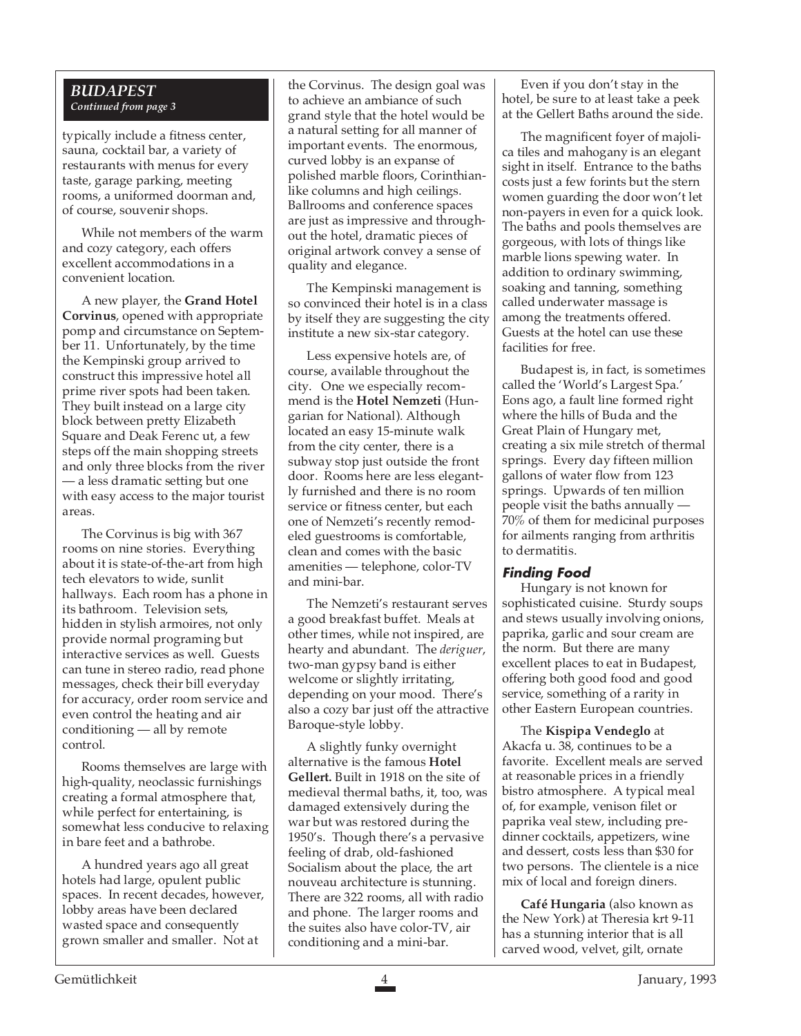#### *BUDAPEST Continued from page 3*

typically include a fitness center, sauna, cocktail bar, a variety of restaurants with menus for every taste, garage parking, meeting rooms, a uniformed doorman and, of course, souvenir shops.

While not members of the warm and cozy category, each offers excellent accommodations in a convenient location.

A new player, the **Grand Hotel Corvinus**, opened with appropriate pomp and circumstance on September 11. Unfortunately, by the time the Kempinski group arrived to construct this impressive hotel all prime river spots had been taken. They built instead on a large city block between pretty Elizabeth Square and Deak Ferenc ut, a few steps off the main shopping streets and only three blocks from the river — a less dramatic setting but one with easy access to the major tourist areas.

The Corvinus is big with 367 rooms on nine stories. Everything about it is state-of-the-art from high tech elevators to wide, sunlit hallways. Each room has a phone in its bathroom. Television sets, hidden in stylish armoires, not only provide normal programing but interactive services as well. Guests can tune in stereo radio, read phone messages, check their bill everyday for accuracy, order room service and even control the heating and air conditioning — all by remote control.

Rooms themselves are large with high-quality, neoclassic furnishings creating a formal atmosphere that, while perfect for entertaining, is somewhat less conducive to relaxing in bare feet and a bathrobe.

A hundred years ago all great hotels had large, opulent public spaces. In recent decades, however, lobby areas have been declared wasted space and consequently grown smaller and smaller. Not at

the Corvinus. The design goal was to achieve an ambiance of such grand style that the hotel would be a natural setting for all manner of important events. The enormous, curved lobby is an expanse of polished marble floors, Corinthianlike columns and high ceilings. Ballrooms and conference spaces are just as impressive and throughout the hotel, dramatic pieces of original artwork convey a sense of quality and elegance.

The Kempinski management is so convinced their hotel is in a class by itself they are suggesting the city institute a new six-star category.

Less expensive hotels are, of course, available throughout the city. One we especially recommend is the **Hotel Nemzeti** (Hungarian for National). Although located an easy 15-minute walk from the city center, there is a subway stop just outside the front door. Rooms here are less elegantly furnished and there is no room service or fitness center, but each one of Nemzeti's recently remodeled guestrooms is comfortable, clean and comes with the basic amenities — telephone, color-TV and mini-bar.

The Nemzeti's restaurant serves a good breakfast buffet. Meals at other times, while not inspired, are hearty and abundant. The *deriguer*, two-man gypsy band is either welcome or slightly irritating, depending on your mood. There's also a cozy bar just off the attractive Baroque-style lobby.

A slightly funky overnight alternative is the famous **Hotel Gellert.** Built in 1918 on the site of medieval thermal baths, it, too, was damaged extensively during the war but was restored during the 1950's. Though there's a pervasive feeling of drab, old-fashioned Socialism about the place, the art nouveau architecture is stunning. There are 322 rooms, all with radio and phone. The larger rooms and the suites also have color-TV, air conditioning and a mini-bar.

Even if you don't stay in the hotel, be sure to at least take a peek at the Gellert Baths around the side.

The magnificent foyer of majolica tiles and mahogany is an elegant sight in itself. Entrance to the baths costs just a few forints but the stern women guarding the door won't let non-payers in even for a quick look. The baths and pools themselves are gorgeous, with lots of things like marble lions spewing water. In addition to ordinary swimming, soaking and tanning, something called underwater massage is among the treatments offered. Guests at the hotel can use these facilities for free.

Budapest is, in fact, is sometimes called the 'World's Largest Spa.' Eons ago, a fault line formed right where the hills of Buda and the Great Plain of Hungary met, creating a six mile stretch of thermal springs. Every day fifteen million gallons of water flow from 123 springs. Upwards of ten million people visit the baths annually — 70% of them for medicinal purposes for ailments ranging from arthritis to dermatitis.

## **Finding Food**

Hungary is not known for sophisticated cuisine. Sturdy soups and stews usually involving onions, paprika, garlic and sour cream are the norm. But there are many excellent places to eat in Budapest, offering both good food and good service, something of a rarity in other Eastern European countries.

The **Kispipa Vendeglo** at Akacfa u. 38, continues to be a favorite. Excellent meals are served at reasonable prices in a friendly bistro atmosphere. A typical meal of, for example, venison filet or paprika veal stew, including predinner cocktails, appetizers, wine and dessert, costs less than \$30 for two persons. The clientele is a nice mix of local and foreign diners.

**Café Hungaria** (also known as the New York) at Theresia krt 9-11 has a stunning interior that is all carved wood, velvet, gilt, ornate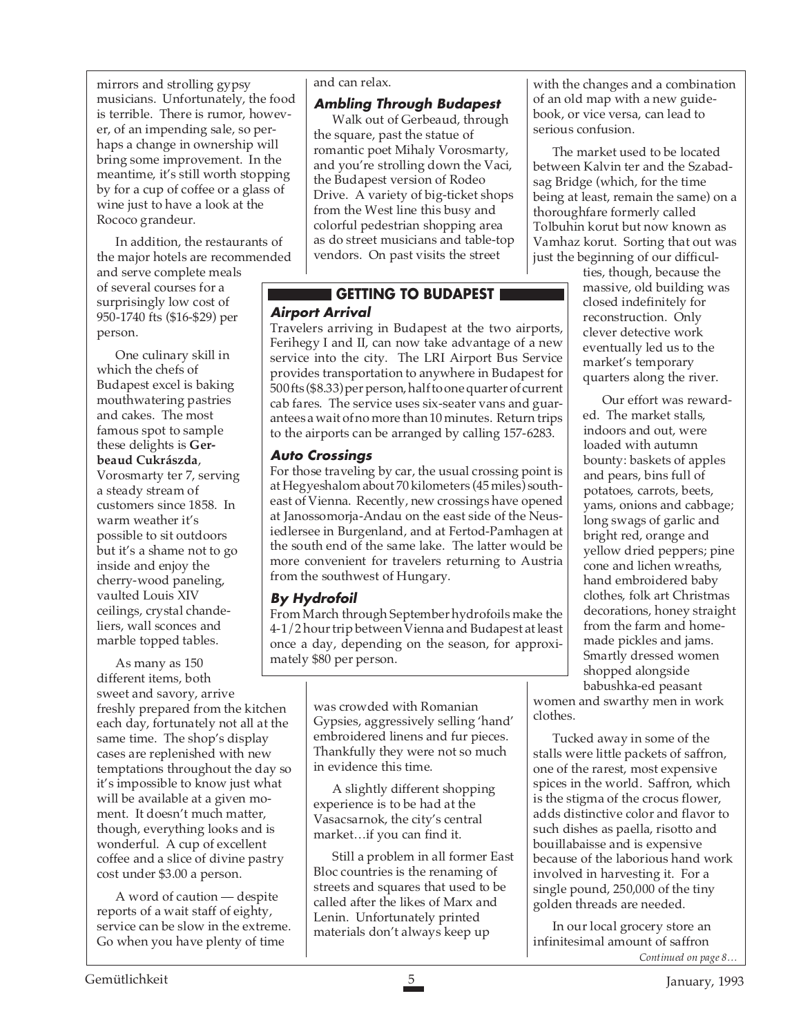mirrors and strolling gypsy musicians. Unfortunately, the food is terrible. There is rumor, however, of an impending sale, so perhaps a change in ownership will bring some improvement. In the meantime, it's still worth stopping by for a cup of coffee or a glass of wine just to have a look at the Rococo grandeur.

In addition, the restaurants of the major hotels are recommended and serve complete meals of several courses for a surprisingly low cost of 950-1740 fts (\$16-\$29) per person.

One culinary skill in which the chefs of Budapest excel is baking mouthwatering pastries and cakes. The most famous spot to sample these delights is **Gerbeaud Cukrászda**, Vorosmarty ter 7, serving a steady stream of customers since 1858. In warm weather it's possible to sit outdoors but it's a shame not to go inside and enjoy the cherry-wood paneling, vaulted Louis XIV ceilings, crystal chandeliers, wall sconces and marble topped tables.

As many as 150 different items, both sweet and savory, arrive freshly prepared from the kitchen each day, fortunately not all at the same time. The shop's display cases are replenished with new temptations throughout the day so it's impossible to know just what will be available at a given moment. It doesn't much matter, though, everything looks and is wonderful. A cup of excellent coffee and a slice of divine pastry cost under \$3.00 a person.

A word of caution — despite reports of a wait staff of eighty, service can be slow in the extreme. Go when you have plenty of time

#### and can relax.

#### **Ambling Through Budapest**

Walk out of Gerbeaud, through the square, past the statue of romantic poet Mihaly Vorosmarty, and you're strolling down the Vaci, the Budapest version of Rodeo Drive. A variety of big-ticket shops from the West line this busy and colorful pedestrian shopping area as do street musicians and table-top vendors. On past visits the street

# **Airport Arrival GETTING TO BUDAPEST**

Travelers arriving in Budapest at the two airports, Ferihegy I and II, can now take advantage of a new service into the city. The LRI Airport Bus Service provides transportation to anywhere in Budapest for 500 fts (\$8.33) per person, half to one quarter of current cab fares. The service uses six-seater vans and guarantees a wait of no more than 10 minutes. Return trips to the airports can be arranged by calling 157-6283.

#### **Auto Crossings**

For those traveling by car, the usual crossing point is at Hegyeshalom about 70 kilometers (45 miles) southeast of Vienna. Recently, new crossings have opened at Janossomorja-Andau on the east side of the Neusiedlersee in Burgenland, and at Fertod-Pamhagen at the south end of the same lake. The latter would be more convenient for travelers returning to Austria from the southwest of Hungary.

#### **By Hydrofoil**

From March through September hydrofoils make the 4-1/2 hour trip between Vienna and Budapest at least once a day, depending on the season, for approximately \$80 per person.

> was crowded with Romanian Gypsies, aggressively selling 'hand' embroidered linens and fur pieces. Thankfully they were not so much in evidence this time.

A slightly different shopping experience is to be had at the Vasacsarnok, the city's central market…if you can find it.

Still a problem in all former East Bloc countries is the renaming of streets and squares that used to be called after the likes of Marx and Lenin. Unfortunately printed materials don't always keep up

with the changes and a combination of an old map with a new guidebook, or vice versa, can lead to serious confusion.

The market used to be located between Kalvin ter and the Szabadsag Bridge (which, for the time being at least, remain the same) on a thoroughfare formerly called Tolbuhin korut but now known as Vamhaz korut. Sorting that out was just the beginning of our difficul-

ties, though, because the massive, old building was closed indefinitely for reconstruction. Only clever detective work eventually led us to the market's temporary quarters along the river.

Our effort was rewarded. The market stalls, indoors and out, were loaded with autumn bounty: baskets of apples and pears, bins full of potatoes, carrots, beets, yams, onions and cabbage; long swags of garlic and bright red, orange and yellow dried peppers; pine cone and lichen wreaths, hand embroidered baby clothes, folk art Christmas decorations, honey straight from the farm and homemade pickles and jams. Smartly dressed women shopped alongside babushka-ed peasant

women and swarthy men in work clothes.

Tucked away in some of the stalls were little packets of saffron, one of the rarest, most expensive spices in the world. Saffron, which is the stigma of the crocus flower, adds distinctive color and flavor to such dishes as paella, risotto and bouillabaisse and is expensive because of the laborious hand work involved in harvesting it. For a single pound, 250,000 of the tiny golden threads are needed.

In our local grocery store an infinitesimal amount of saffron *Continued on page 8…*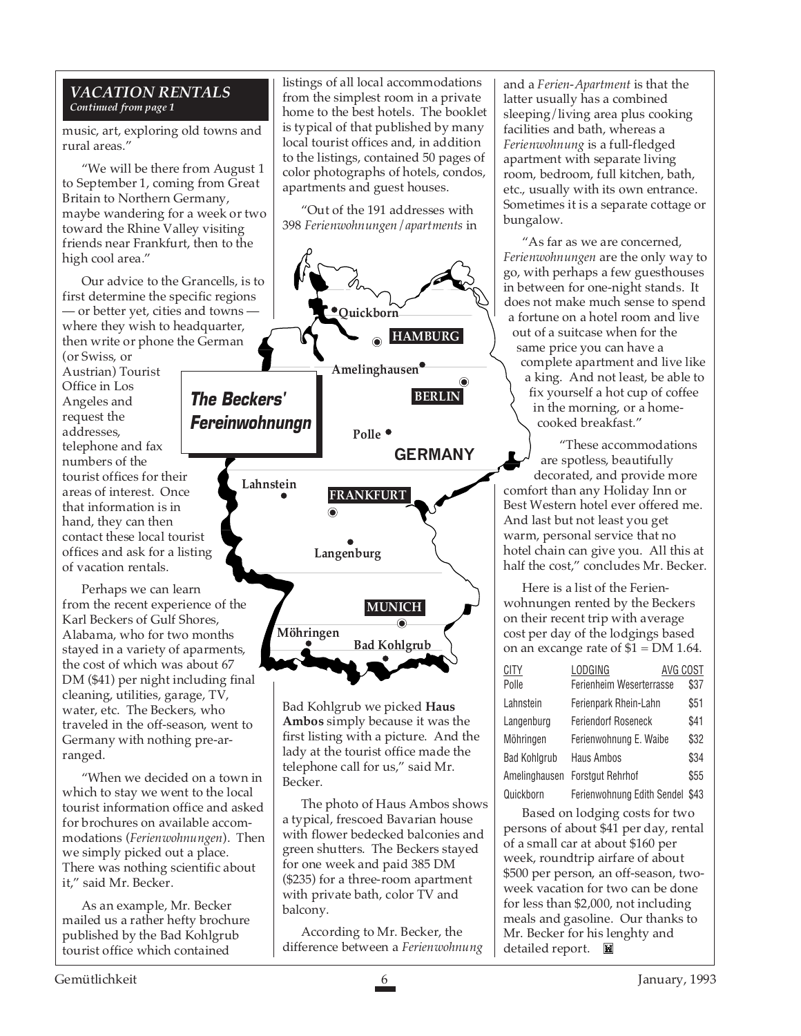#### *VACATION RENTALS Continued from page 1*

music, art, exploring old towns and rural areas."

"We will be there from August 1 to September 1, coming from Great Britain to Northern Germany, maybe wandering for a week or two toward the Rhine Valley visiting friends near Frankfurt, then to the high cool area."

Our advice to the Grancells, is to first determine the specific regions — or better yet, cities and towns where they wish to headquarter, then write or phone the German

(or Swiss, or Austrian) Tourist Office in Los Angeles and request the addresses, telephone and fax numbers of the tourist offices for their areas of interest. Once that information is in hand, they can then contact these local tourist offices and ask for a listing of vacation rentals.

Perhaps we can learn from the recent experience of the Karl Beckers of Gulf Shores, Alabama, who for two months stayed in a variety of aparments, the cost of which was about 67 DM (\$41) per night including final cleaning, utilities, garage, TV, water, etc. The Beckers, who traveled in the off-season, went to Germany with nothing pre-arranged.

"When we decided on a town in which to stay we went to the local tourist information office and asked for brochures on available accommodations (*Ferienwohnungen*). Then we simply picked out a place. There was nothing scientific about it," said Mr. Becker.

As an example, Mr. Becker mailed us a rather hefty brochure published by the Bad Kohlgrub tourist office which contained

listings of all local accommodations from the simplest room in a private home to the best hotels. The booklet is typical of that published by many local tourist offices and, in addition to the listings, contained 50 pages of color photographs of hotels, condos, apartments and guest houses.

"Out of the 191 addresses with 398 *Ferienwohnungen*/*apartments* in



Bad Kohlgrub we picked **Haus Ambos** simply because it was the first listing with a picture. And the lady at the tourist office made the telephone call for us," said Mr. Becker.

The photo of Haus Ambos shows a typical, frescoed Bavarian house with flower bedecked balconies and green shutters. The Beckers stayed for one week and paid 385 DM (\$235) for a three-room apartment with private bath, color TV and balcony.

According to Mr. Becker, the difference between a *Ferienwohnung* and a *Ferien*-*Apartment* is that the latter usually has a combined sleeping/living area plus cooking facilities and bath, whereas a *Ferienwohnung* is a full-fledged apartment with separate living room, bedroom, full kitchen, bath, etc., usually with its own entrance. Sometimes it is a separate cottage or bungalow.

"As far as we are concerned, *Ferienwohnungen* are the only way to go, with perhaps a few guesthouses in between for one-night stands. It does not make much sense to spend a fortune on a hotel room and live out of a suitcase when for the same price you can have a complete apartment and live like a king. And not least, be able to fix yourself a hot cup of coffee in the morning, or a homecooked breakfast."

"These accommodations are spotless, beautifully decorated, and provide more comfort than any Holiday Inn or Best Western hotel ever offered me. And last but not least you get warm, personal service that no hotel chain can give you. All this at half the cost," concludes Mr. Becker.

Here is a list of the Ferienwohnungen rented by the Beckers on their recent trip with average cost per day of the lodgings based on an excange rate of  $$1 = DM 1.64$ .

| CITY          | LODGING<br>AVG COST             |      |
|---------------|---------------------------------|------|
| Polle         | Ferienheim Weserterrasse        | \$37 |
| Lahnstein     | Ferienpark Rhein-Lahn           | \$51 |
| Langenburg    | <b>Feriendorf Roseneck</b>      | \$41 |
| Möhringen     | Ferienwohnung E. Waibe          | \$32 |
| Bad Kohlgrub  | Haus Ambos                      | \$34 |
| Amelinghausen | <b>Forstgut Rehrhof</b>         | \$55 |
| Quickborn     | Ferienwohnung Edith Sendel \$43 |      |

Based on lodging costs for two persons of about \$41 per day, rental of a small car at about \$160 per week, roundtrip airfare of about \$500 per person, an off-season, twoweek vacation for two can be done for less than \$2,000, not including meals and gasoline. Our thanks to Mr. Becker for his lenghty and detailed report.  $\blacksquare$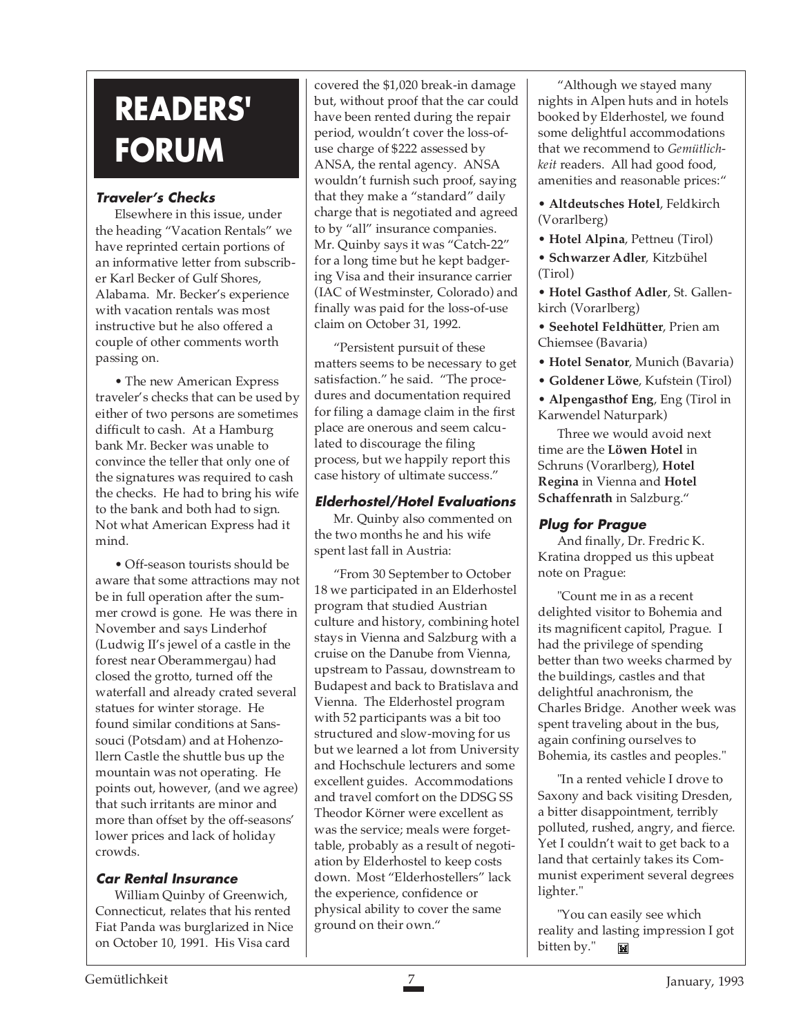# **READERS' FORUM**

# **Traveler's Checks**

Elsewhere in this issue, under the heading "Vacation Rentals" we have reprinted certain portions of an informative letter from subscriber Karl Becker of Gulf Shores, Alabama. Mr. Becker's experience with vacation rentals was most instructive but he also offered a couple of other comments worth passing on.

• The new American Express traveler's checks that can be used by either of two persons are sometimes difficult to cash. At a Hamburg bank Mr. Becker was unable to convince the teller that only one of the signatures was required to cash the checks. He had to bring his wife to the bank and both had to sign. Not what American Express had it mind.

• Off-season tourists should be aware that some attractions may not be in full operation after the summer crowd is gone. He was there in November and says Linderhof (Ludwig II's jewel of a castle in the forest near Oberammergau) had closed the grotto, turned off the waterfall and already crated several statues for winter storage. He found similar conditions at Sanssouci (Potsdam) and at Hohenzollern Castle the shuttle bus up the mountain was not operating. He points out, however, (and we agree) that such irritants are minor and more than offset by the off-seasons' lower prices and lack of holiday crowds.

# **Car Rental Insurance**

William Quinby of Greenwich, Connecticut, relates that his rented Fiat Panda was burglarized in Nice on October 10, 1991. His Visa card

covered the \$1,020 break-in damage but, without proof that the car could have been rented during the repair period, wouldn't cover the loss-ofuse charge of \$222 assessed by ANSA, the rental agency. ANSA wouldn't furnish such proof, saying that they make a "standard" daily charge that is negotiated and agreed to by "all" insurance companies. Mr. Quinby says it was "Catch-22" for a long time but he kept badgering Visa and their insurance carrier (IAC of Westminster, Colorado) and finally was paid for the loss-of-use claim on October 31, 1992.

"Persistent pursuit of these matters seems to be necessary to get satisfaction." he said. "The procedures and documentation required for filing a damage claim in the first place are onerous and seem calculated to discourage the filing process, but we happily report this case history of ultimate success."

# **Elderhostel/Hotel Evaluations**

Mr. Quinby also commented on the two months he and his wife spent last fall in Austria:

"From 30 September to October 18 we participated in an Elderhostel program that studied Austrian culture and history, combining hotel stays in Vienna and Salzburg with a cruise on the Danube from Vienna, upstream to Passau, downstream to Budapest and back to Bratislava and Vienna. The Elderhostel program with 52 participants was a bit too structured and slow-moving for us but we learned a lot from University and Hochschule lecturers and some excellent guides. Accommodations and travel comfort on the DDSG SS Theodor Körner were excellent as was the service; meals were forgettable, probably as a result of negotiation by Elderhostel to keep costs down. Most "Elderhostellers" lack the experience, confidence or physical ability to cover the same ground on their own."

"Although we stayed many nights in Alpen huts and in hotels booked by Elderhostel, we found some delightful accommodations that we recommend to *Gemütlichkeit* readers. All had good food, amenities and reasonable prices:"

• **Altdeutsches Hotel**, Feldkirch (Vorarlberg)

• **Hotel Alpina**, Pettneu (Tirol) • **Schwarzer Adler**, Kitzbühel (Tirol)

• **Hotel Gasthof Adler**, St. Gallenkirch (Vorarlberg)

- **Seehotel Feldhütter**, Prien am Chiemsee (Bavaria)
- **Hotel Senator**, Munich (Bavaria)
- **Goldener Löwe**, Kufstein (Tirol)

• **Alpengasthof Eng**, Eng (Tirol in Karwendel Naturpark)

Three we would avoid next time are the **Löwen Hotel** in Schruns (Vorarlberg), **Hotel Regina** in Vienna and **Hotel Schaffenrath** in Salzburg."

# **Plug for Prague**

And finally, Dr. Fredric K. Kratina dropped us this upbeat note on Prague:

"Count me in as a recent delighted visitor to Bohemia and its magnificent capitol, Prague. I had the privilege of spending better than two weeks charmed by the buildings, castles and that delightful anachronism, the Charles Bridge. Another week was spent traveling about in the bus, again confining ourselves to Bohemia, its castles and peoples."

"In a rented vehicle I drove to Saxony and back visiting Dresden, a bitter disappointment, terribly polluted, rushed, angry, and fierce. Yet I couldn't wait to get back to a land that certainly takes its Communist experiment several degrees lighter."

"You can easily see which reality and lasting impression I got bitten by." Tell